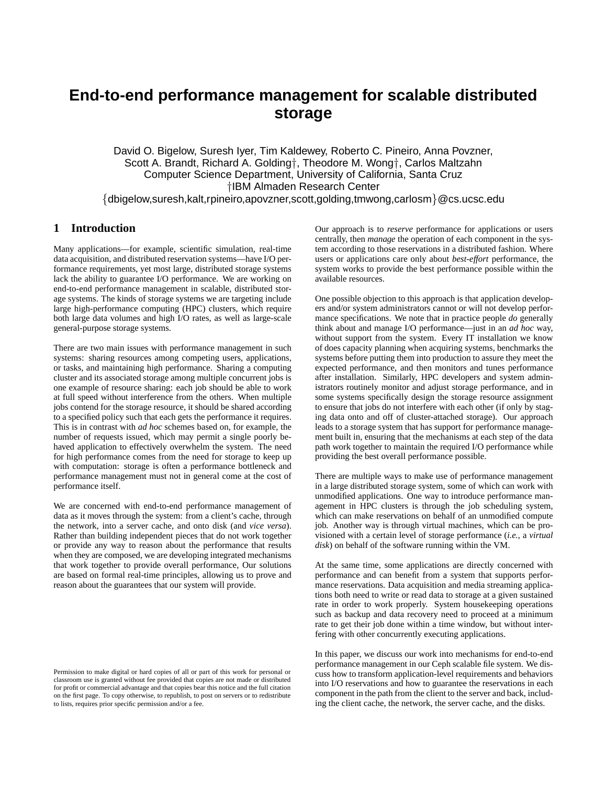# **End-to-end performance management for scalable distributed storage**

David O. Bigelow, Suresh Iyer, Tim Kaldewey, Roberto C. Pineiro, Anna Povzner, Scott A. Brandt, Richard A. Golding†, Theodore M. Wong†, Carlos Maltzahn Computer Science Department, University of California, Santa Cruz †IBM Almaden Research Center

{dbigelow,suresh,kalt,rpineiro,apovzner,scott,golding,tmwong,carlosm}@cs.ucsc.edu

### **1 Introduction**

Many applications—for example, scientific simulation, real-time data acquisition, and distributed reservation systems—have I/O performance requirements, yet most large, distributed storage systems lack the ability to guarantee I/O performance. We are working on end-to-end performance management in scalable, distributed storage systems. The kinds of storage systems we are targeting include large high-performance computing (HPC) clusters, which require both large data volumes and high I/O rates, as well as large-scale general-purpose storage systems.

There are two main issues with performance management in such systems: sharing resources among competing users, applications, or tasks, and maintaining high performance. Sharing a computing cluster and its associated storage among multiple concurrent jobs is one example of resource sharing: each job should be able to work at full speed without interference from the others. When multiple jobs contend for the storage resource, it should be shared according to a specified policy such that each gets the performance it requires. This is in contrast with *ad hoc* schemes based on, for example, the number of requests issued, which may permit a single poorly behaved application to effectively overwhelm the system. The need for high performance comes from the need for storage to keep up with computation: storage is often a performance bottleneck and performance management must not in general come at the cost of performance itself.

We are concerned with end-to-end performance management of data as it moves through the system: from a client's cache, through the network, into a server cache, and onto disk (and *vice versa*). Rather than building independent pieces that do not work together or provide any way to reason about the performance that results when they are composed, we are developing integrated mechanisms that work together to provide overall performance, Our solutions are based on formal real-time principles, allowing us to prove and reason about the guarantees that our system will provide.

Our approach is to *reserve* performance for applications or users centrally, then *manage* the operation of each component in the system according to those reservations in a distributed fashion. Where users or applications care only about *best-effort* performance, the system works to provide the best performance possible within the available resources.

One possible objection to this approach is that application developers and/or system administrators cannot or will not develop performance specifications. We note that in practice people *do* generally think about and manage I/O performance—just in an *ad hoc* way, without support from the system. Every IT installation we know of does capacity planning when acquiring systems, benchmarks the systems before putting them into production to assure they meet the expected performance, and then monitors and tunes performance after installation. Similarly, HPC developers and system administrators routinely monitor and adjust storage performance, and in some systems specifically design the storage resource assignment to ensure that jobs do not interfere with each other (if only by staging data onto and off of cluster-attached storage). Our approach leads to a storage system that has support for performance management built in, ensuring that the mechanisms at each step of the data path work together to maintain the required I/O performance while providing the best overall performance possible.

There are multiple ways to make use of performance management in a large distributed storage system, some of which can work with unmodified applications. One way to introduce performance management in HPC clusters is through the job scheduling system, which can make reservations on behalf of an unmodified compute job. Another way is through virtual machines, which can be provisioned with a certain level of storage performance (*i.e.*, a *virtual disk*) on behalf of the software running within the VM.

At the same time, some applications are directly concerned with performance and can benefit from a system that supports performance reservations. Data acquisition and media streaming applications both need to write or read data to storage at a given sustained rate in order to work properly. System housekeeping operations such as backup and data recovery need to proceed at a minimum rate to get their job done within a time window, but without interfering with other concurrently executing applications.

In this paper, we discuss our work into mechanisms for end-to-end performance management in our Ceph scalable file system. We discuss how to transform application-level requirements and behaviors into I/O reservations and how to guarantee the reservations in each component in the path from the client to the server and back, including the client cache, the network, the server cache, and the disks.

Permission to make digital or hard copies of all or part of this work for personal or classroom use is granted without fee provided that copies are not made or distributed for profit or commercial advantage and that copies bear this notice and the full citation on the first page. To copy otherwise, to republish, to post on servers or to redistribute to lists, requires prior specific permission and/or a fee.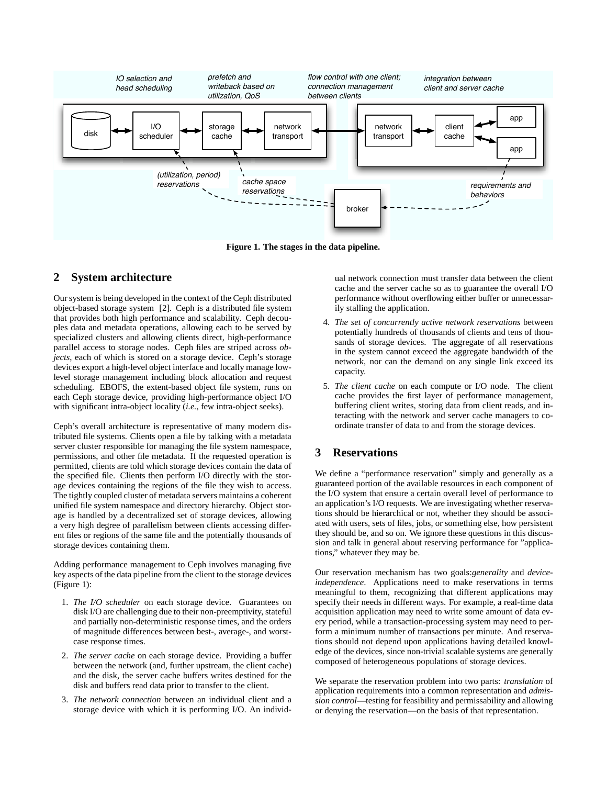

**Figure 1. The stages in the data pipeline.**

## **2 System architecture**

Our system is being developed in the context of the Ceph distributed object-based storage system [2]. Ceph is a distributed file system that provides both high performance and scalability. Ceph decouples data and metadata operations, allowing each to be served by specialized clusters and allowing clients direct, high-performance parallel access to storage nodes. Ceph files are striped across *objects*, each of which is stored on a storage device. Ceph's storage devices export a high-level object interface and locally manage lowlevel storage management including block allocation and request scheduling. EBOFS, the extent-based object file system, runs on each Ceph storage device, providing high-performance object I/O with significant intra-object locality (*i.e.*, few intra-object seeks).

Ceph's overall architecture is representative of many modern distributed file systems. Clients open a file by talking with a metadata server cluster responsible for managing the file system namespace, permissions, and other file metadata. If the requested operation is permitted, clients are told which storage devices contain the data of the specified file. Clients then perform I/O directly with the storage devices containing the regions of the file they wish to access. The tightly coupled cluster of metadata servers maintains a coherent unified file system namespace and directory hierarchy. Object storage is handled by a decentralized set of storage devices, allowing a very high degree of parallelism between clients accessing different files or regions of the same file and the potentially thousands of storage devices containing them.

Adding performance management to Ceph involves managing five key aspects of the data pipeline from the client to the storage devices (Figure 1):

- 1. *The I/O scheduler* on each storage device. Guarantees on disk I/O are challenging due to their non-preemptivity, stateful and partially non-deterministic response times, and the orders of magnitude differences between best-, average-, and worstcase response times.
- 2. *The server cache* on each storage device. Providing a buffer between the network (and, further upstream, the client cache) and the disk, the server cache buffers writes destined for the disk and buffers read data prior to transfer to the client.
- 3. *The network connection* between an individual client and a storage device with which it is performing I/O. An individ-

ual network connection must transfer data between the client cache and the server cache so as to guarantee the overall I/O performance without overflowing either buffer or unnecessarily stalling the application.

- 4. *The set of concurrently active network reservations* between potentially hundreds of thousands of clients and tens of thousands of storage devices. The aggregate of all reservations in the system cannot exceed the aggregate bandwidth of the network, nor can the demand on any single link exceed its capacity.
- 5. *The client cache* on each compute or I/O node. The client cache provides the first layer of performance management, buffering client writes, storing data from client reads, and interacting with the network and server cache managers to coordinate transfer of data to and from the storage devices.

# **3 Reservations**

We define a "performance reservation" simply and generally as a guaranteed portion of the available resources in each component of the I/O system that ensure a certain overall level of performance to an application's I/O requests. We are investigating whether reservations should be hierarchical or not, whether they should be associated with users, sets of files, jobs, or something else, how persistent they should be, and so on. We ignore these questions in this discussion and talk in general about reserving performance for "applications," whatever they may be.

Our reservation mechanism has two goals:*generality* and *deviceindependence*. Applications need to make reservations in terms meaningful to them, recognizing that different applications may specify their needs in different ways. For example, a real-time data acquisition application may need to write some amount of data every period, while a transaction-processing system may need to perform a minimum number of transactions per minute. And reservations should not depend upon applications having detailed knowledge of the devices, since non-trivial scalable systems are generally composed of heterogeneous populations of storage devices.

We separate the reservation problem into two parts: *translation* of application requirements into a common representation and *admission control*—testing for feasibility and permissability and allowing or denying the reservation—on the basis of that representation.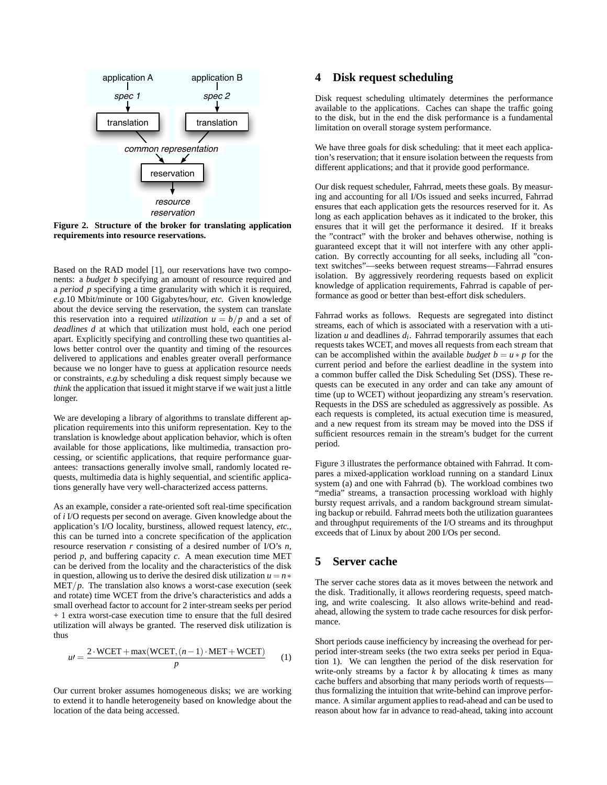

**Figure 2. Structure of the broker for translating application requirements into resource reservations.**

Based on the RAD model [1], our reservations have two components: a *budget b* specifying an amount of resource required and a *period p* specifying a time granularity with which it is required, *e.g.*10 Mbit/minute or 100 Gigabytes/hour, *etc.* Given knowledge about the device serving the reservation, the system can translate this reservation into a required *utilization*  $u = b/p$  and a set of *deadlines d* at which that utilization must hold, each one period apart. Explicitly specifying and controlling these two quantities allows better control over the quantity and timing of the resources delivered to applications and enables greater overall performance because we no longer have to guess at application resource needs or constraints, *e.g.*by scheduling a disk request simply because we *think* the application that issued it might starve if we wait just a little longer.

We are developing a library of algorithms to translate different application requirements into this uniform representation. Key to the translation is knowledge about application behavior, which is often available for those applications, like multimedia, transaction processing, or scientific applications, that require performance guarantees: transactions generally involve small, randomly located requests, multimedia data is highly sequential, and scientific applications generally have very well-characterized access patterns.

As an example, consider a rate-oriented soft real-time specification of *i* I/O requests per second on average. Given knowledge about the application's I/O locality, burstiness, allowed request latency, *etc.*, this can be turned into a concrete specification of the application resource reservation *r* consisting of a desired number of I/O's *n*, period *p*, and buffering capacity *c*. A mean execution time MET can be derived from the locality and the characteristics of the disk in question, allowing us to derive the desired disk utilization  $u = n$ <sup>\*</sup> MET/*p*. The translation also knows a worst-case execution (seek and rotate) time WCET from the drive's characteristics and adds a small overhead factor to account for 2 inter-stream seeks per period + 1 extra worst-case execution time to ensure that the full desired utilization will always be granted. The reserved disk utilization is thus

$$
u' = \frac{2 \cdot \text{WCEPT} + \text{max}(\text{WCEPT}, (n-1) \cdot \text{MET} + \text{WCEPT})}{p}
$$
 (1)

Our current broker assumes homogeneous disks; we are working to extend it to handle heterogeneity based on knowledge about the location of the data being accessed.

#### **4 Disk request scheduling**

Disk request scheduling ultimately determines the performance available to the applications. Caches can shape the traffic going to the disk, but in the end the disk performance is a fundamental limitation on overall storage system performance.

We have three goals for disk scheduling: that it meet each application's reservation; that it ensure isolation between the requests from different applications; and that it provide good performance.

Our disk request scheduler, Fahrrad, meets these goals. By measuring and accounting for all I/Os issued and seeks incurred, Fahrrad ensures that each application gets the resources reserved for it. As long as each application behaves as it indicated to the broker, this ensures that it will get the performance it desired. If it breaks the "contract" with the broker and behaves otherwise, nothing is guaranteed except that it will not interfere with any other application. By correctly accounting for all seeks, including all "context switches"—seeks between request streams—Fahrrad ensures isolation. By aggressively reordering requests based on explicit knowledge of application requirements, Fahrrad is capable of performance as good or better than best-effort disk schedulers.

Fahrrad works as follows. Requests are segregated into distinct streams, each of which is associated with a reservation with a utilization  $u$  and deadlines  $d_i$ . Fahrrad temporarily assumes that each requests takes WCET, and moves all requests from each stream that can be accomplished within the available *budget*  $b = u * p$  for the current period and before the earliest deadline in the system into a common buffer called the Disk Scheduling Set (DSS). These requests can be executed in any order and can take any amount of time (up to WCET) without jeopardizing any stream's reservation. Requests in the DSS are scheduled as aggressively as possible. As each requests is completed, its actual execution time is measured, and a new request from its stream may be moved into the DSS if sufficient resources remain in the stream's budget for the current period.

Figure 3 illustrates the performance obtained with Fahrrad. It compares a mixed-application workload running on a standard Linux system (a) and one with Fahrrad (b). The workload combines two "media" streams, a transaction processing workload with highly bursty request arrivals, and a random background stream simulating backup or rebuild. Fahrrad meets both the utilization guarantees and throughput requirements of the I/O streams and its throughput exceeds that of Linux by about 200 I/Os per second.

#### **5 Server cache**

The server cache stores data as it moves between the network and the disk. Traditionally, it allows reordering requests, speed matching, and write coalescing. It also allows write-behind and readahead, allowing the system to trade cache resources for disk performance.

Short periods cause inefficiency by increasing the overhead for perperiod inter-stream seeks (the two extra seeks per period in Equation 1). We can lengthen the period of the disk reservation for write-only streams by a factor *k* by allocating *k* times as many cache buffers and absorbing that many periods worth of requests thus formalizing the intuition that write-behind can improve performance. A similar argument applies to read-ahead and can be used to reason about how far in advance to read-ahead, taking into account